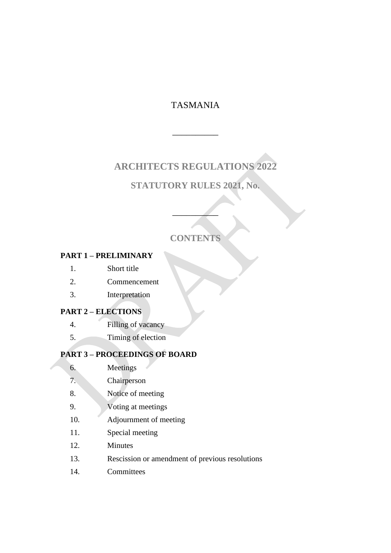# TASMANIA

 $\overline{\phantom{a}}$  , we can also the contract of  $\overline{\phantom{a}}$ 

# **ARCHITECTS REGULATIONS 2022**

# **STATUTORY RULES 2021, No.**

# **CONTENTS**

 $\overline{\phantom{a}}$ 

### **PART 1 – PRELIMINARY**

- 1. Short title
- 2. Commencement
- 3. Interpretation

#### **PART 2 – ELECTIONS**

- 4. Filling of vacancy
- 5. Timing of election

### **PART 3 – PROCEEDINGS OF BOARD**

- 6. Meetings
- 7. Chairperson
- 8. Notice of meeting
- 9. Voting at meetings
- 10. Adjournment of meeting
- 11. Special meeting
- 12. Minutes
- 13. Rescission or amendment of previous resolutions
- 14. Committees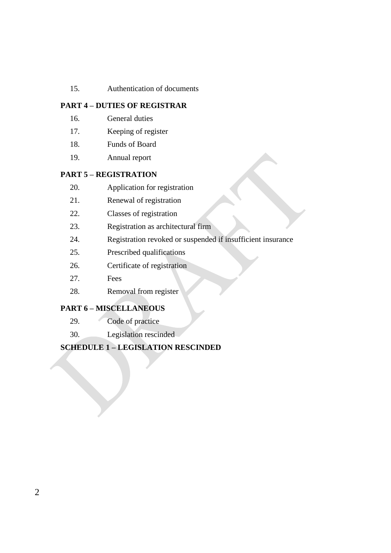15. Authentication of documents

#### **PART 4 – DUTIES OF REGISTRAR**

- 16. General duties
- 17. Keeping of register
- 18. Funds of Board
- 19. Annual report

#### **PART 5 – REGISTRATION**

- 20. Application for registration
- 21. Renewal of registration
- 22. Classes of registration
- 23. Registration as architectural firm
- 24. Registration revoked or suspended if insufficient insurance
- 25. Prescribed qualifications
- 26. Certificate of registration
- 27. Fees
- 28. Removal from register

#### **PART 6 – MISCELLANEOUS**

- 29. Code of practice
- 30. Legislation rescinded

#### **SCHEDULE 1 – LEGISLATION RESCINDED**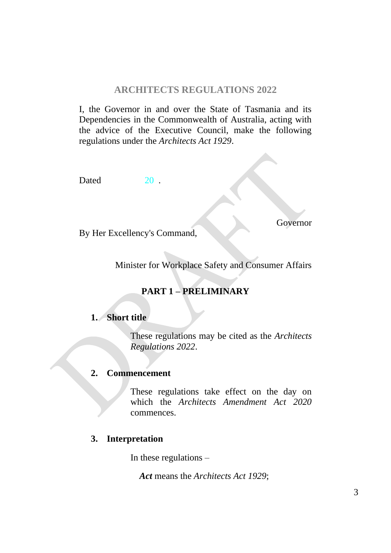### **ARCHITECTS REGULATIONS 2022**

I, the Governor in and over the State of Tasmania and its Dependencies in the Commonwealth of Australia, acting with the advice of the Executive Council, make the following regulations under the *Architects Act 1929*.

Dated 20 .

Governor

By Her Excellency's Command,

Minister for Workplace Safety and Consumer Affairs

# **PART 1 – PRELIMINARY**

#### **1. Short title**

These regulations may be cited as the *Architects Regulations 2022*.

## **2. Commencement**

These regulations take effect on the day on which the *Architects Amendment Act 2020* commences.

## **3. Interpretation**

In these regulations –

*Act* means the *Architects Act 1929*;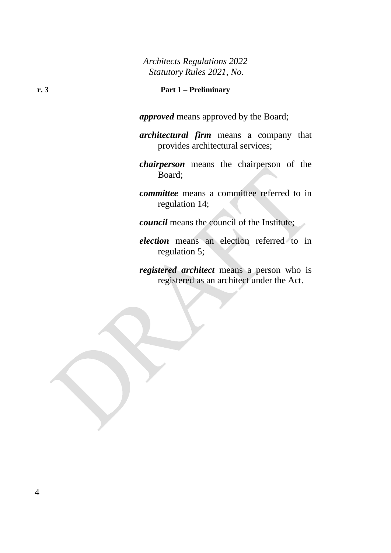#### **r. 3 Part 1 – Preliminary**

*approved* means approved by the Board;

*architectural firm* means a company that provides architectural services;

*chairperson* means the chairperson of the Board;

*committee* means a committee referred to in regulation 14;

*council* means the council of the Institute;

*election* means an election referred to in regulation 5;

*registered architect* means a person who is registered as an architect under the Act.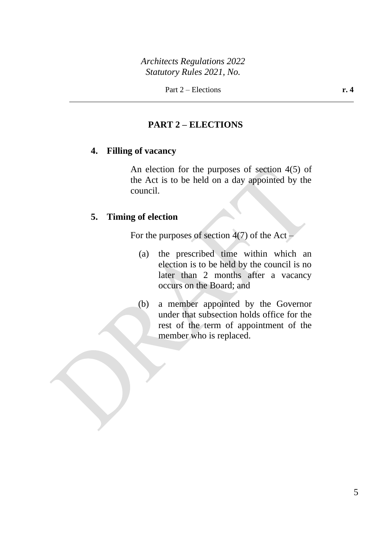## **PART 2 – ELECTIONS**

### **4. Filling of vacancy**

An election for the purposes of section 4(5) of the Act is to be held on a day appointed by the council.

## **5. Timing of election**

For the purposes of section  $4(7)$  of the Act –

- (a) the prescribed time within which an election is to be held by the council is no later than 2 months after a vacancy occurs on the Board; and
- (b) a member appointed by the Governor under that subsection holds office for the rest of the term of appointment of the member who is replaced.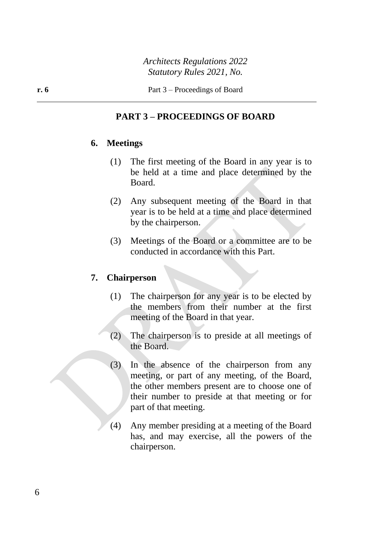## **PART 3 – PROCEEDINGS OF BOARD**

#### **6. Meetings**

- (1) The first meeting of the Board in any year is to be held at a time and place determined by the Board.
- (2) Any subsequent meeting of the Board in that year is to be held at a time and place determined by the chairperson.
- (3) Meetings of the Board or a committee are to be conducted in accordance with this Part.

### **7. Chairperson**

- (1) The chairperson for any year is to be elected by the members from their number at the first meeting of the Board in that year.
- (2) The chairperson is to preside at all meetings of the Board.
- (3) In the absence of the chairperson from any meeting, or part of any meeting, of the Board, the other members present are to choose one of their number to preside at that meeting or for part of that meeting.
- (4) Any member presiding at a meeting of the Board has, and may exercise, all the powers of the chairperson.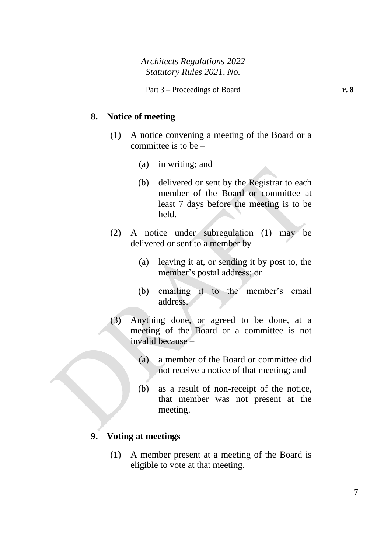### **8. Notice of meeting**

- (1) A notice convening a meeting of the Board or a committee is to be  $-$ 
	- (a) in writing; and
	- (b) delivered or sent by the Registrar to each member of the Board or committee at least 7 days before the meeting is to be held.
- (2) A notice under subregulation (1) may be delivered or sent to a member by –
	- (a) leaving it at, or sending it by post to, the member's postal address; or
	- (b) emailing it to the member's email address.
- (3) Anything done, or agreed to be done, at a meeting of the Board or a committee is not invalid because –
	- (a) a member of the Board or committee did not receive a notice of that meeting; and
	- (b) as a result of non-receipt of the notice, that member was not present at the meeting.

## **9. Voting at meetings**

(1) A member present at a meeting of the Board is eligible to vote at that meeting.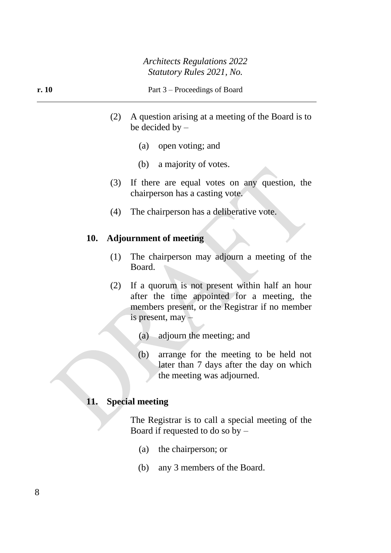- (2) A question arising at a meeting of the Board is to be decided by –
	- (a) open voting; and
	- (b) a majority of votes.
- (3) If there are equal votes on any question, the chairperson has a casting vote.
- (4) The chairperson has a deliberative vote.

### **10. Adjournment of meeting**

- (1) The chairperson may adjourn a meeting of the Board.
- (2) If a quorum is not present within half an hour after the time appointed for a meeting, the members present, or the Registrar if no member is present, may –
	- (a) adjourn the meeting; and
	- (b) arrange for the meeting to be held not later than 7 days after the day on which the meeting was adjourned.

#### **11. Special meeting**

The Registrar is to call a special meeting of the Board if requested to do so by –

- (a) the chairperson; or
- (b) any 3 members of the Board.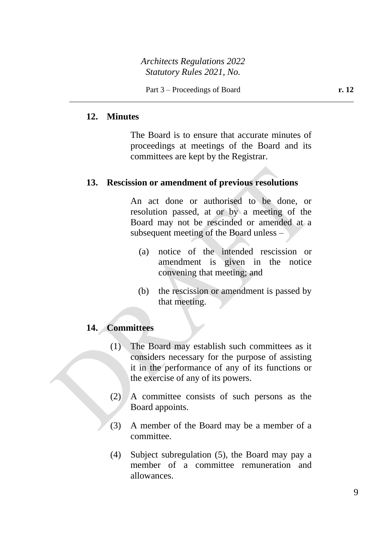### **12. Minutes**

The Board is to ensure that accurate minutes of proceedings at meetings of the Board and its committees are kept by the Registrar.

### **13. Rescission or amendment of previous resolutions**

An act done or authorised to be done, or resolution passed, at or by a meeting of the Board may not be rescinded or amended at a subsequent meeting of the Board unless –

- (a) notice of the intended rescission or amendment is given in the notice convening that meeting; and
- (b) the rescission or amendment is passed by that meeting.

## **14. Committees**

- (1) The Board may establish such committees as it considers necessary for the purpose of assisting it in the performance of any of its functions or the exercise of any of its powers.
- (2) A committee consists of such persons as the Board appoints.
- (3) A member of the Board may be a member of a committee.
- (4) Subject subregulation (5), the Board may pay a member of a committee remuneration and allowances.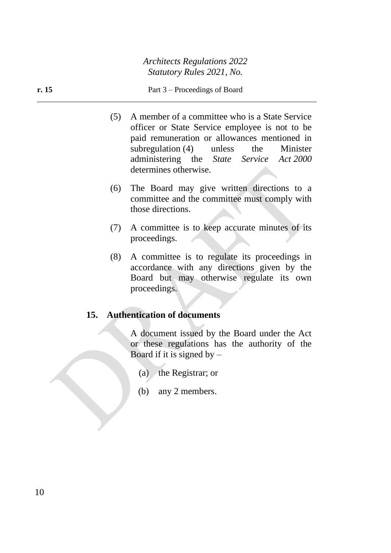#### **r. 15** Part 3 – Proceedings of Board

- (5) A member of a committee who is a State Service officer or State Service employee is not to be paid remuneration or allowances mentioned in subregulation (4) unless the Minister administering the *State Service Act 2000* determines otherwise.
- (6) The Board may give written directions to a committee and the committee must comply with those directions.
- (7) A committee is to keep accurate minutes of its proceedings.
- (8) A committee is to regulate its proceedings in accordance with any directions given by the Board but may otherwise regulate its own proceedings.

## **15. Authentication of documents**

A document issued by the Board under the Act or these regulations has the authority of the Board if it is signed by  $-$ 

- (a) the Registrar; or
- (b) any 2 members.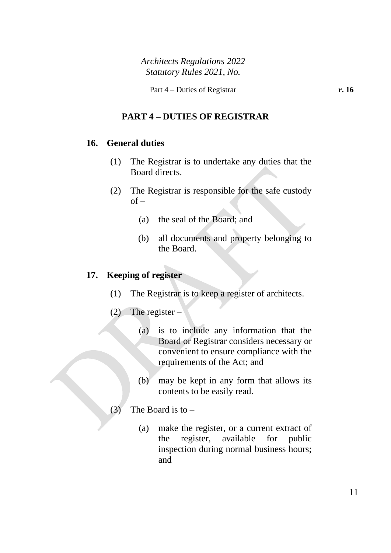# **PART 4 – DUTIES OF REGISTRAR**

### **16. General duties**

- (1) The Registrar is to undertake any duties that the Board directs.
- (2) The Registrar is responsible for the safe custody  $of -$ 
	- (a) the seal of the Board; and
	- (b) all documents and property belonging to the Board.

## **17. Keeping of register**

- (1) The Registrar is to keep a register of architects.
- (2) The register  $-$ 
	- (a) is to include any information that the Board or Registrar considers necessary or convenient to ensure compliance with the requirements of the Act; and
	- (b) may be kept in any form that allows its contents to be easily read.
- (3) The Board is to  $-$ 
	- (a) make the register, or a current extract of the register, available for public inspection during normal business hours; and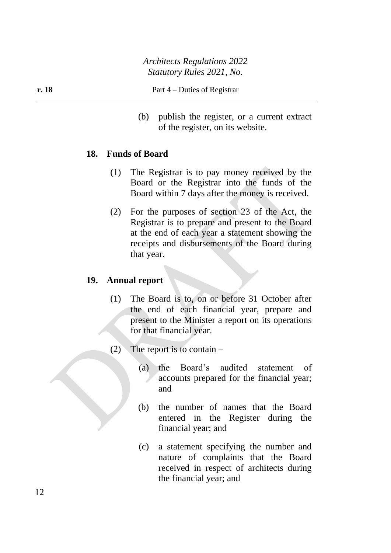(b) publish the register, or a current extract of the register, on its website.

### **18. Funds of Board**

- (1) The Registrar is to pay money received by the Board or the Registrar into the funds of the Board within 7 days after the money is received.
- (2) For the purposes of section 23 of the Act, the Registrar is to prepare and present to the Board at the end of each year a statement showing the receipts and disbursements of the Board during that year.

### **19. Annual report**

- (1) The Board is to, on or before 31 October after the end of each financial year, prepare and present to the Minister a report on its operations for that financial year.
- (2) The report is to contain  $-$ 
	- (a) the Board's audited statement of accounts prepared for the financial year; and
	- (b) the number of names that the Board entered in the Register during the financial year; and
	- (c) a statement specifying the number and nature of complaints that the Board received in respect of architects during the financial year; and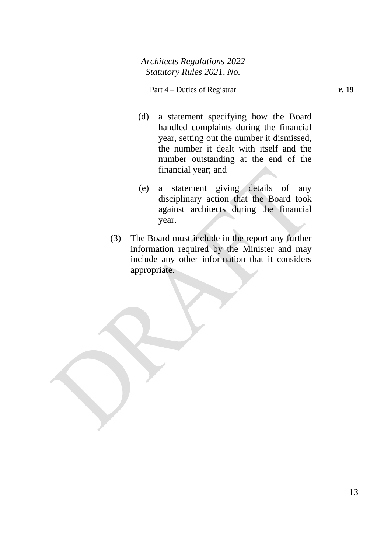#### Part 4 – Duties of Registrar **r. 19**

- (d) a statement specifying how the Board handled complaints during the financial year, setting out the number it dismissed, the number it dealt with itself and the number outstanding at the end of the financial year; and
- (e) a statement giving details of any disciplinary action that the Board took against architects during the financial year.
- (3) The Board must include in the report any further information required by the Minister and may include any other information that it considers appropriate.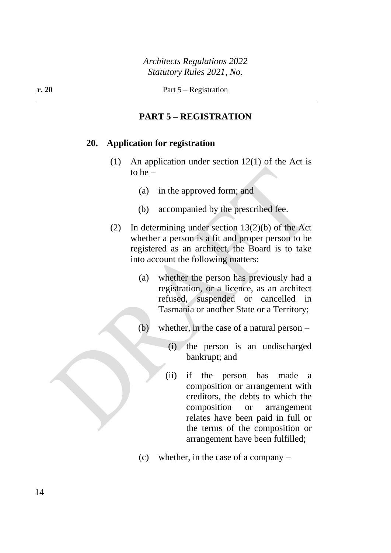## **PART 5 – REGISTRATION**

#### **20. Application for registration**

- (1) An application under section 12(1) of the Act is to be  $-$ 
	- (a) in the approved form; and
	- (b) accompanied by the prescribed fee.
- (2) In determining under section 13(2)(b) of the Act whether a person is a fit and proper person to be registered as an architect, the Board is to take into account the following matters:
	- (a) whether the person has previously had a registration, or a licence, as an architect refused, suspended or cancelled in Tasmania or another State or a Territory;
	- (b) whether, in the case of a natural person
		- (i) the person is an undischarged bankrupt; and
		- (ii) if the person has made a composition or arrangement with creditors, the debts to which the composition or arrangement relates have been paid in full or the terms of the composition or arrangement have been fulfilled;
	- (c) whether, in the case of a company –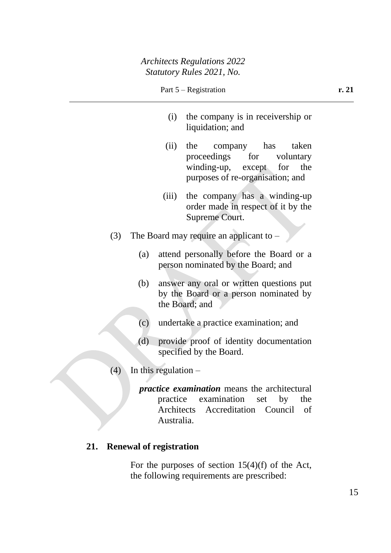- (i) the company is in receivership or liquidation; and
- (ii) the company has taken proceedings for voluntary winding-up, except for the purposes of re-organisation; and
- (iii) the company has a winding-up order made in respect of it by the Supreme Court.
- (3) The Board may require an applicant to  $-$ 
	- (a) attend personally before the Board or a person nominated by the Board; and
	- (b) answer any oral or written questions put by the Board or a person nominated by the Board; and
	- (c) undertake a practice examination; and
	- (d) provide proof of identity documentation specified by the Board.
- $(4)$  In this regulation
	- *practice examination* means the architectural practice examination set by the Architects Accreditation Council of Australia.

# **21. Renewal of registration**

For the purposes of section 15(4)(f) of the Act, the following requirements are prescribed: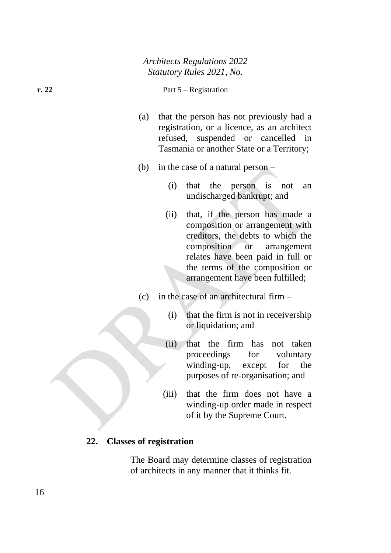#### **r. 22** Part 5 – Registration

- (a) that the person has not previously had a registration, or a licence, as an architect refused, suspended or cancelled in Tasmania or another State or a Territory;
- (b) in the case of a natural person
	- (i) that the person is not an undischarged bankrupt; and
	- (ii) that, if the person has made a composition or arrangement with creditors, the debts to which the composition or arrangement relates have been paid in full or the terms of the composition or arrangement have been fulfilled;
- (c) in the case of an architectural firm
	- (i) that the firm is not in receivership or liquidation; and
	- (ii) that the firm has not taken proceedings for voluntary winding-up, except for the purposes of re-organisation; and
	- (iii) that the firm does not have a winding-up order made in respect of it by the Supreme Court.

### **22. Classes of registration**

The Board may determine classes of registration of architects in any manner that it thinks fit.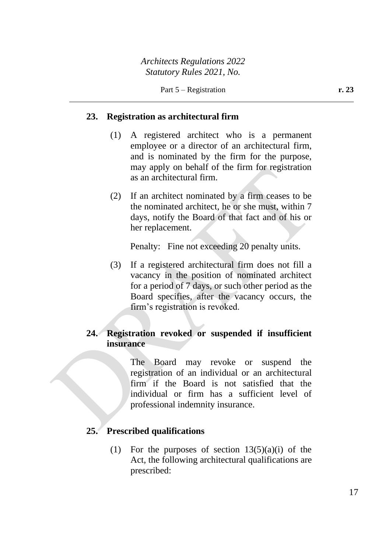## **23. Registration as architectural firm**

- (1) A registered architect who is a permanent employee or a director of an architectural firm, and is nominated by the firm for the purpose, may apply on behalf of the firm for registration as an architectural firm.
- (2) If an architect nominated by a firm ceases to be the nominated architect, he or she must, within 7 days, notify the Board of that fact and of his or her replacement.

Penalty: Fine not exceeding 20 penalty units.

(3) If a registered architectural firm does not fill a vacancy in the position of nominated architect for a period of 7 days, or such other period as the Board specifies, after the vacancy occurs, the firm's registration is revoked.

## **24. Registration revoked or suspended if insufficient insurance**

The Board may revoke or suspend the registration of an individual or an architectural firm if the Board is not satisfied that the individual or firm has a sufficient level of professional indemnity insurance.

### **25. Prescribed qualifications**

(1) For the purposes of section  $13(5)(a)(i)$  of the Act, the following architectural qualifications are prescribed: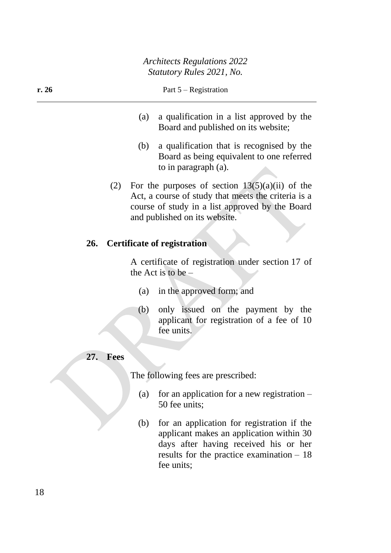- (a) a qualification in a list approved by the Board and published on its website;
- (b) a qualification that is recognised by the Board as being equivalent to one referred to in paragraph (a).
- (2) For the purposes of section  $13(5)(a)(ii)$  of the Act, a course of study that meets the criteria is a course of study in a list approved by the Board and published on its website.

### **26. Certificate of registration**

A certificate of registration under section 17 of the Act is to be –

- (a) in the approved form; and
- (b) only issued on the payment by the applicant for registration of a fee of 10 fee units.

### **27. Fees**

The following fees are prescribed:

- (a) for an application for a new registration  $-$ 50 fee units;
- (b) for an application for registration if the applicant makes an application within 30 days after having received his or her results for the practice examination – 18 fee units;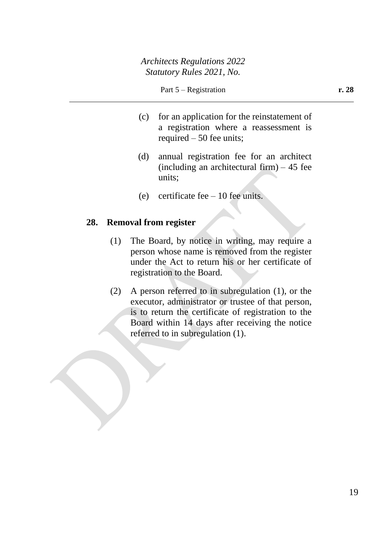- (c) for an application for the reinstatement of a registration where a reassessment is required – 50 fee units;
- (d) annual registration fee for an architect (including an architectural firm)  $-45$  fee units;
- (e) certificate fee  $-10$  fee units.

#### **28. Removal from register**

- (1) The Board, by notice in writing, may require a person whose name is removed from the register under the Act to return his or her certificate of registration to the Board.
- (2) A person referred to in subregulation (1), or the executor, administrator or trustee of that person, is to return the certificate of registration to the Board within 14 days after receiving the notice referred to in subregulation (1).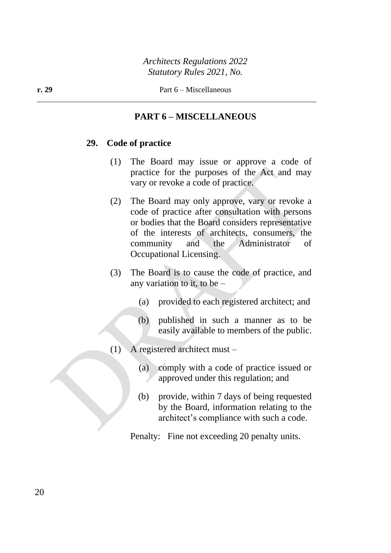## **PART 6 – MISCELLANEOUS**

#### **29. Code of practice**

- (1) The Board may issue or approve a code of practice for the purposes of the Act and may vary or revoke a code of practice.
- (2) The Board may only approve, vary or revoke a code of practice after consultation with persons or bodies that the Board considers representative of the interests of architects, consumers, the community and the Administrator of Occupational Licensing.
- (3) The Board is to cause the code of practice, and any variation to it, to be –
	- (a) provided to each registered architect; and
	- (b) published in such a manner as to be easily available to members of the public.
- (1) A registered architect must
	- (a) comply with a code of practice issued or approved under this regulation; and
	- (b) provide, within 7 days of being requested by the Board, information relating to the architect's compliance with such a code.

Penalty: Fine not exceeding 20 penalty units.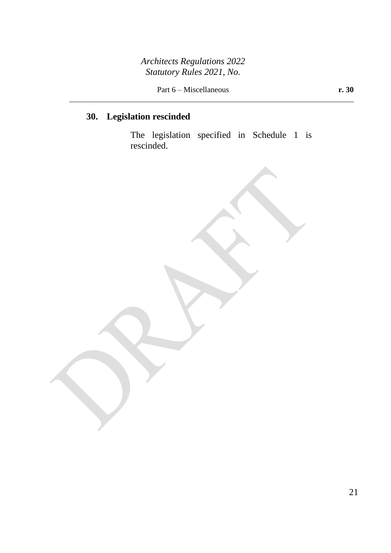Part 6 – Miscellaneous **r. 30** 

# **30. Legislation rescinded**

The legislation specified in Schedule 1 is rescinded.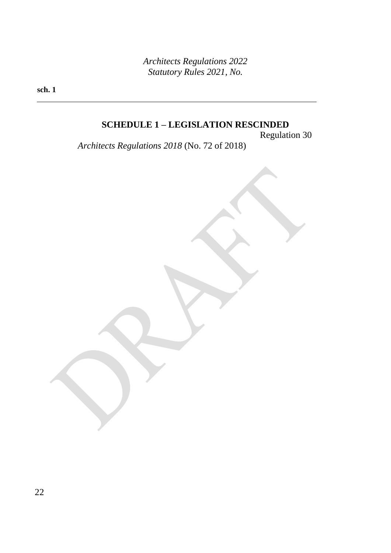**sch. 1**

# **SCHEDULE 1 – LEGISLATION RESCINDED**

Regulation 30

*Architects Regulations 2018* (No. 72 of 2018)